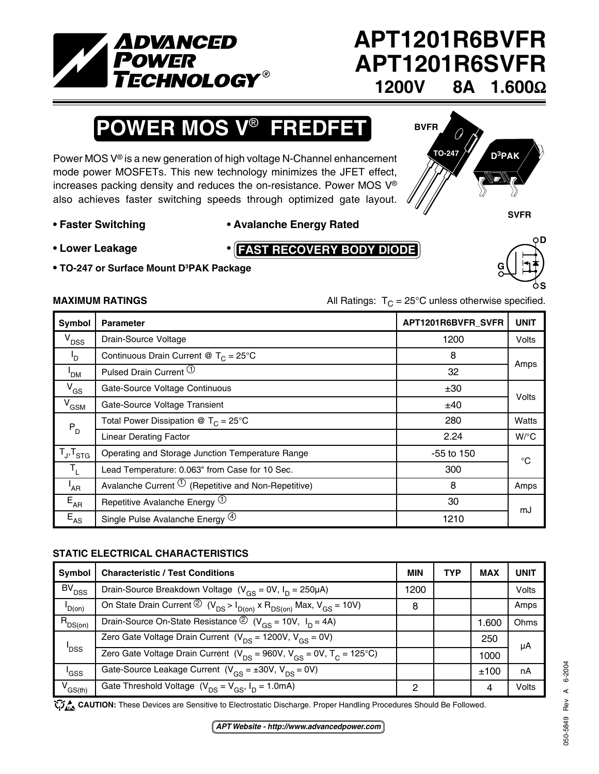

# **APT1201R6BVFR APT1201R6SVFR 1200V 8A 1.600**Ω

# **POWER MOS V**® **FREDFET**

Power MOS V® is a new generation of high voltage N-Channel enhancement mode power MOSFETs. This new technology minimizes the JFET effect, increases packing density and reduces the on-resistance. Power MOS V® also achieves faster switching speeds through optimized gate layout.



**G**

**D**

**S**

### **• Faster Switching • Avalanche Energy Rated**

**FAST RECOVERY BODY DIODE**

- **Lower Leakage •**
- **• TO-247 or Surface Mount D3 PAK Package**

**MAXIMUM RATINGS** MAXIMUM RATINGS All Ratings:  $T_c = 25^\circ \text{C}$  unless otherwise specified.

| Symbol                     | <b>Parameter</b>                                                  | APT1201R6BVFR_SVFR | <b>UNIT</b>        |
|----------------------------|-------------------------------------------------------------------|--------------------|--------------------|
| $V_{DSS}$                  | Drain-Source Voltage                                              | 1200               | <b>Volts</b>       |
| ים <sup>ו</sup>            | Continuous Drain Current @ $T_c = 25^{\circ}$ C                   | 8                  |                    |
| ' <sub>DM</sub>            | Pulsed Drain Current <sup>(1)</sup>                               | 32                 | Amps               |
| $V_{GS}$                   | Gate-Source Voltage Continuous                                    | ±30                |                    |
| $V_{GSM}$                  | Gate-Source Voltage Transient                                     | ±40                | Volts              |
| $P_D$                      | Total Power Dissipation @ $T_c = 25^{\circ}C$                     | 280                | Watts              |
|                            | <b>Linear Derating Factor</b>                                     | 2.24               | $W$ <sup>o</sup> C |
| $T_{\sf J}, T_{\sf STG}$   | Operating and Storage Junction Temperature Range                  | $-55$ to 150       | °C                 |
| $T_{\rm L}$                | Lead Temperature: 0.063" from Case for 10 Sec.                    | 300                |                    |
| $I_{AR}$                   | Avalanche Current $\overline{10}$ (Repetitive and Non-Repetitive) | 8                  | Amps               |
| $E_{AR}$                   | Repetitive Avalanche Energy <sup>(1)</sup>                        | 30                 | mJ                 |
| $\mathsf{E}_{\mathsf{AS}}$ | Single Pulse Avalanche Energy <sup>(4)</sup>                      | 1210               |                    |

### **STATIC ELECTRICAL CHARACTERISTICS**

| Symbol           | <b>Characteristic / Test Conditions</b>                                                     | <b>MIN</b> | <b>TYP</b> | <b>MAX</b> | UNIT         |
|------------------|---------------------------------------------------------------------------------------------|------------|------------|------------|--------------|
| $BV_{DSS}$       | Drain-Source Breakdown Voltage ( $V_{GS} = 0V$ , $I_D = 250\mu A$ )                         | 1200       |            |            | <b>Volts</b> |
| $I_{D(0n)}$      | On State Drain Current ② $(V_{DS} > I_{D(on)} \times R_{DS(on)}$ Max, $V_{GS} = 10V$ )      | 8          |            |            | Amps         |
| $R_{DS(on)}$     | Drain-Source On-State Resistance $\circled{2}$ (V <sub>GS</sub> = 10V, I <sub>D</sub> = 4A) |            |            | 1.600      | Ohms         |
| ' <sub>DSS</sub> | Zero Gate Voltage Drain Current $(V_{DS} = 1200V, V_{GS} = 0V)$                             |            |            | 250        | μA           |
|                  | Zero Gate Voltage Drain Current ( $V_{DS}$ = 960V, $V_{GS}$ = 0V, $T_{C}$ = 125°C)          |            |            | 1000       |              |
| 'GSS             | Gate-Source Leakage Current $(V_{cs} = \pm 30V, V_{DS} = 0V)$                               |            |            | ±100       | nA           |
| $V_{GS(th)}$     | Gate Threshold Voltage $(V_{DS} = V_{GS}, I_D = 1.0 \text{mA})$                             | ົ          |            | 4          | Volts        |

CAUTION: These Devices are Sensitive to Electrostatic Discharge. Proper Handling Procedures Should Be Followed.

*APT Website - http://www.advancedpower.com*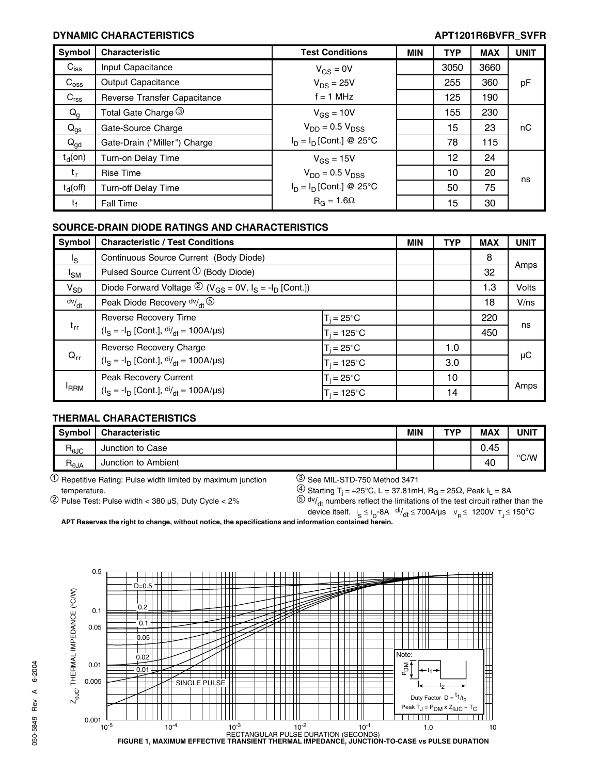### **DYNAMIC CHARACTERISTICS APT1201R6BVFR\_SVFR**

| Symbol           | <b>Characteristic</b>        | <b>Test Conditions</b>     | <b>MIN</b> | <b>TYP</b> | <b>MAX</b> | <b>UNIT</b> |
|------------------|------------------------------|----------------------------|------------|------------|------------|-------------|
| $C_{iss}$        | Input Capacitance            | $V_{GS} = 0V$              |            | 3050       | 3660       |             |
| $C_{\rm oss}$    | Output Capacitance           | $V_{DS} = 25V$             |            | 255        | 360        | pF          |
| $C_{\text{rss}}$ | Reverse Transfer Capacitance | $f = 1$ MHz                |            | 125        | 190        |             |
| $Q_g$            | Total Gate Charge 3          | $V_{GS} = 10V$             |            | 155        | 230        |             |
| $Q_{gs}$         | Gate-Source Charge           | $V_{DD}$ = 0.5 $V_{DSS}$   |            | 15         | 23         | пC          |
| $Q_{gd}$         | Gate-Drain ("Miller") Charge | $I_D = I_D$ [Cont.] @ 25°C |            | 78         | 115        |             |
| $t_d($ on)       | Turn-on Delay Time           | $V_{GS} = 15V$             |            | 12         | 24         |             |
| t,               | Rise Time                    | $V_{DD}$ = 0.5 $V_{DSS}$   |            | 10         | 20         | ns          |
| $t_d$ (off)      | <b>Turn-off Delay Time</b>   | $I_D = I_D$ [Cont.] @ 25°C |            | 50         | 75         |             |
| t                | <b>Fall Time</b>             | $R_G = 1.6\Omega$          |            | 15         | 30         |             |

### **SOURCE-DRAIN DIODE RATINGS AND CHARACTERISTICS**

| Symbol          | <b>Characteristic / Test Conditions</b>                                       |                      | <b>MIN</b> | <b>TYP</b> | <b>MAX</b> | <b>UNIT</b>  |
|-----------------|-------------------------------------------------------------------------------|----------------------|------------|------------|------------|--------------|
| l <sub>S</sub>  | Continuous Source Current (Body Diode)                                        |                      |            |            | 8          |              |
| <sup>I</sup> SM | Pulsed Source Current <sup>1</sup> (Body Diode)                               |                      |            |            | 32         | Amps         |
| $V_{SD}$        | Diode Forward Voltage $\mathcal{D}(V_{GS} = 0V, I_S = -I_D$ [Cont.])          |                      |            |            | 1.3        | <b>Volts</b> |
| dv/dt           | Peak Diode Recovery dv/ <sub>dt</sub> 5                                       |                      |            |            | 18         | V/ns         |
| $t_{rr}$        | Reverse Recovery Time                                                         | $T_i = 25^{\circ}C$  |            |            | 220        |              |
|                 | $(I_S = -I_D$ [Cont.], $di/dt = 100A/\mu s$ )                                 | $T_i = 125^{\circ}C$ |            |            | 450        | ns           |
|                 | Reverse Recovery Charge                                                       | $T_i = 25^{\circ}C$  |            | 1.0        |            |              |
| $Q_{rr}$        | $(I_S = -I_D$ [Cont.], $di/_{dt} = 100A/\mu s$ )                              | $T_i = 125$ °C       |            | 3.0        |            | $\mu$ C      |
| <b>FRRM</b>     | <b>Peak Recovery Current</b><br>$(I_S = -I_D$ [Cont.], $di/dt = 100A/\mu s$ ) | $T_i = 25^{\circ}C$  |            | 10         |            |              |
|                 |                                                                               | $T_i = 125^{\circ}C$ |            | 14         |            | Amps         |

### **THERMAL CHARACTERISTICS**

| Symbol               | <b>Characteristic</b>  | MIN | <b>TVP</b> | <b>MAX</b> | UNIT          |
|----------------------|------------------------|-----|------------|------------|---------------|
| D<br>$n_{\theta}$ JC | Junction to Case       |     |            | 0.45       |               |
| D<br>$n_{\theta}$ JA | Junction to<br>Ambient |     |            | 40         | $\degree$ C/W |

 $10$  Repetitive Rating: Pulse width limited by maximum junction  $3$  See MIL-STD-750 Method 3471

temperature.  $\overset{(4)}{=}$  Starting T<sub>j</sub> = +25°C, L = 37.81mH, R<sub>G</sub> = 25 $\Omega$ , Peak I<sub>L</sub> = 8A

**APT Reserves the right to change, without notice, the specifications and information contained herein.**



<sup>&</sup>lt;sup>2</sup>) Pulse Test: Pulse width < 380 µS, Duty Cycle < 2%  $\frac{(5) \text{ dv}}{dt}$  numbers reflect the limitations of the test circuit rather than the device itself.  $I_S \leq I_D$ -8A  $\frac{di}{dt} \leq 700A/\mu s$   $V_R \leq 1200V$   $T_J \leq 150^{\circ}C$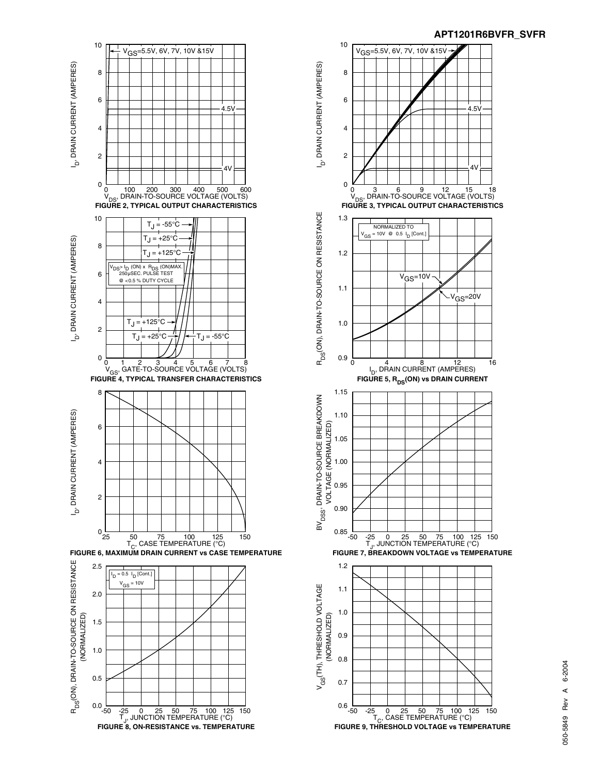



# 6-2004 050-5849 Rev A 6-2004 ⋖ 050-5849 Rev